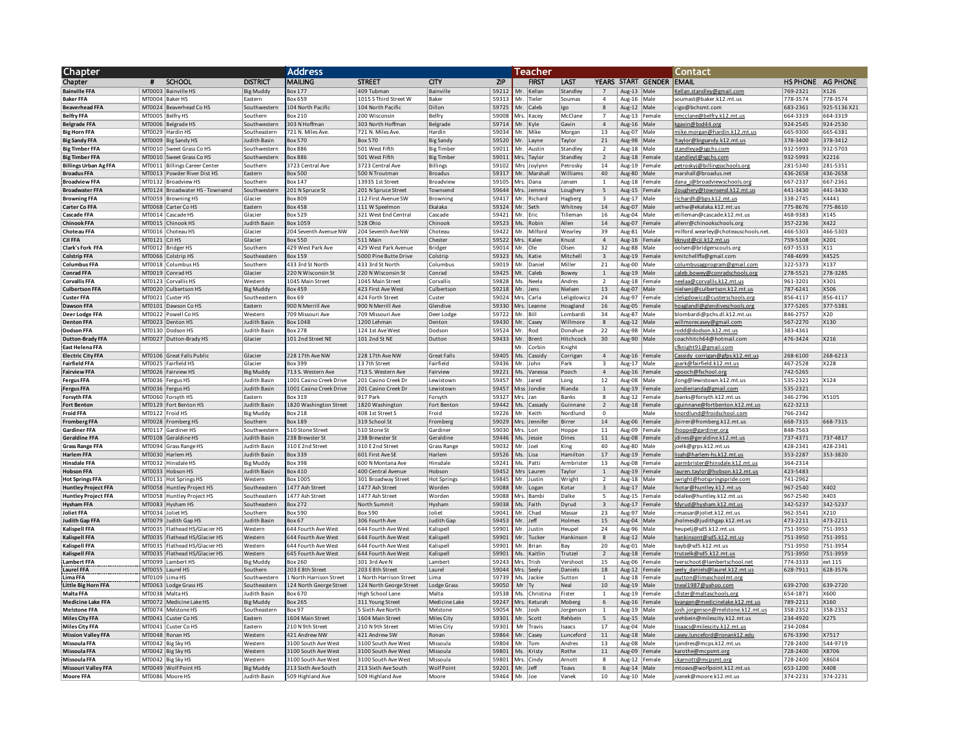| <b>Chapter</b>                                  |               |                                                        |                              | <b>Address</b>                              | Teacher                                 |                                 |                |             |                         |                          | <b>Contact</b>                 |                         |                          |                                                             |                      |                      |
|-------------------------------------------------|---------------|--------------------------------------------------------|------------------------------|---------------------------------------------|-----------------------------------------|---------------------------------|----------------|-------------|-------------------------|--------------------------|--------------------------------|-------------------------|--------------------------|-------------------------------------------------------------|----------------------|----------------------|
| Chapter                                         | 茸             | <b>SCHOOL</b>                                          | <b>DISTRICT</b>              | <b>MAILING</b>                              | <b>STREET</b>                           | CITY                            | <b>ZIP</b>     |             | <b>FIRST</b>            | LAST                     |                                |                         | YEARS START GENDER EMAIL |                                                             |                      | HS PHONE AG PHONE    |
| <b>Bainville FFA</b>                            |               | MT0003   Bainville HS                                  | <b>Big Muddy</b>             | 3ox 177                                     | 409 Tubman                              | Bainville                       | 59212          | Mr.         | Kellar                  | Standley                 |                                | Aug-13 Male             |                          | Kellan.standley@gmail.com                                   | 769-2321             | X126                 |
| <b>Baker FFA</b>                                |               | MT0004 Baker HS                                        | Eastern                      | 3ox 659                                     | 1015 S Third Street W                   | <b>Baker</b>                    | 59313          | Mr.         | Tieler                  | Soumas                   | $\overline{4}$                 | Aug-16                  | Male                     | soumast@baker.k12.mt.us                                     | 778-3574             | 778-3574             |
| <b>Beaverhead FFA</b>                           |               | MT0024 Beaverhead Co HS                                | Southwestern                 | 104 North Pacific                           | 104 North Pacific                       | Dillon                          | 59725          | Mr.         | Caleb                   | lgo                      | $\mathbf{g}$                   | Aug-12                  | Male                     | cigo@bchsmt.com                                             | 683-2361             | 925-5136 X21         |
| <b>Belfry FFA</b>                               |               | MT0005 Belfry HS                                       | Southern                     | 3ox 210                                     | 200 Wisconsin                           | Belfry                          | 59008          | Mrs.        | Kacey                   | McClane                  | $\overline{7}$                 | $Aug-13$                | Female                   | kmcclane@belfry.k12.mt.us                                   | 664-3319             | 664-3319             |
| <b>Belgrade FFA</b>                             |               | MT0006 Belgrade HS                                     | Southwestern                 | 303 N Hoffman                               | 303 North Hoffman                       | Belgrade                        | 59714          |             | Mr. Kyle                | Gavin                    | $\overline{4}$                 | Aug-16                  | Male                     | kgavin@bsd44.org                                            | 924-2545             | 924-2530             |
| <b>Big Horn FFA</b>                             |               | MT0029 Hardin HS                                       | Southeastern                 | 721 N. Miles Ave                            | 721 N. Miles Ave                        | Hardin                          | 59034          | Mr.         | Mike                    | Morgan                   | 13                             | Aug-07                  | Male                     | mike.morgan@hardin.k12.mt.us                                | 665-9300             | 665-6381             |
| <b>Big Sandy FFA</b>                            |               | MT0009 Big Sandy HS                                    | <b>Judith Basin</b>          | 3ox 570                                     | <b>Box 570</b>                          | <b>Big Sandy</b>                | 59520          | Mr.         | Lavne                   | Tavlor                   | 21                             | Aug-98                  | Male                     | ltaylor@bigsandy.k12.mt.us                                  | 378-3400             | 378-3412             |
| <b>Big Timber FFA</b>                           |               | MT0010 Sweet Grass Co HS                               | Southwestern                 | Box 886                                     | 501 West Fifth                          | <b>Big Timber</b>               | 59011          | Mr.         | Austin                  | Standlev                 | $\overline{2}$                 | Aug-18                  | Male                     | standleya@sgchs.com                                         | 932-5993             | 932-5703             |
| <b>Big Timber FFA</b>                           |               | MT0010 Sweet Grass Co HS                               | Southwestern                 | 3ox 886                                     | 501 West Fifth                          | <b>Big Timber</b>               | 59011          | Mrs.        | Taylor                  | Standley                 | $\overline{2}$                 | Aug-18                  | Female                   | standleyt@sgchs.com                                         | 932-5993             | X2216                |
| <b>Billings Urban Ag FFA</b>                    |               | MT0011 Billings Career Center                          | Southern                     | 3723 Central Ave                            | 3723 Central Ave                        | <b>Billings</b>                 | 59102          | Mrs         | Jovlynn                 | Petrosky                 | 14                             | Aug-19                  | Female                   | petroskyj@billingsschools.org                               | 281-5340             | 281-5351             |
| <b>Broadus FFA</b>                              |               | MT0013 Powder River Dist HS                            | Eastern                      | 3ox 500                                     | 500 N Troutman                          | <b>Broadus</b>                  | 59317          | Mr.         | Marshall                | Williams                 | 40                             | Aug-80                  | Male                     | marshall@broadus.net                                        | 436-2658             | 436-2658             |
| <b>Broadview FFA</b>                            |               | MT0132 Broadview HS<br>MT0124 Broadwater HS - Townsend | Southern<br>Southwestern     | Box 147                                     | 13935 1st Street<br>201 N Spruce Street | Broadview                       | 59105<br>59644 |             | Mrs. Dana<br>Mrs. Jemma | ansen                    | $\mathbf{1}$<br>$\overline{5}$ | Aug-18                  | Female                   | dana i@broadviewschools.org<br>loughery@townsend.k12.mt.us  | 667-2337<br>441-3430 | 667-2361<br>441-3430 |
| <b>Broadwater FFA</b><br><b>Browning FFA</b>    |               | MT0059 Browning HS                                     | Glacier                      | 201 N Spruce St<br><b>Box 809</b>           | 112 First Avenue SW                     | Townsend<br><b>Browning</b>     | 59417          |             | Mr. Richard             | Loughery<br>Hagberg      | $\overline{\mathbf{3}}$        | Aug-15<br>Aug-17        | Female<br>Male           | richardh@bps.k12.mt.us                                      | 338-2745             | X4441                |
| Carter Co FFA                                   |               | MT0068 Carter Co HS                                    | Fastern                      | <b>Box 458</b>                              | 111 W Speelmon                          | Ekalaka                         | 59324          |             | Mr. Seth                | Whitney                  | 14                             | Aug-07                  | Male                     | sethw@ekalaka.k12.mt.us                                     | 775-8676             | 775-8610             |
| <b>Cascade FFA</b>                              |               | MT0014 Cascade HS                                      | Glacier                      | Box 529                                     | 321 West End Central                    | Cascade                         | 59421          |             | Mr. Eric                | Tilleman                 | $16$                           | Aug-04                  | Male                     | etilleman@cascade.k12.mt.us                                 | 468-9383             | X145                 |
| Chinook FFA                                     |               | MT0015 Chinook HS                                      | <b>Judith Basin</b>          | Box 1059                                    | 528 Ohio                                | Chinook                         | 59523          |             | Ms. Robin               | Allen                    | $14$                           | Aug-07                  | Female                   | allenr@chinookschools.org                                   | 357-2236             | X422                 |
| Choteau FFA                                     |               | MT0016 Choteau HS                                      | Glacier                      | 204 Seventh Avenue NW                       | 204 Seventh Ave NW                      | Choteau                         | 59422          |             | Mr. Milford             | Wearley                  | 39                             | Aug-81                  | Male                     | milford.wearley@choteauschools.net.                         | 466-5303             | 466-5303             |
| <b>CJI FFA</b>                                  | MT0121 CJI HS |                                                        | Glacier                      | 3ox 550                                     | 511 Main                                | Chester                         | 59522          |             | Mrs. Kalee              | Knust                    | $\overline{4}$                 | Aug-16                  | Female                   | kknust@cii.k12.mt.u                                         | 759-5108             | X201                 |
| Clark's Fork FFA                                |               | MT0012 Bridger HS                                      | Southern                     | 129 West Park Ave                           | 429 West Park Avenue                    | Bridger                         | 59014          |             | Mr. Ole                 | Olsen                    | 32                             | Aug-88                  | Male                     | oolsen@bridgerscouts.org                                    | 697-3533             | X11                  |
| <b>Colstrip FFA</b>                             |               | MT0066 Colstrip HS                                     | Southeastern                 | 3ox 159                                     | 5000 Pine Butte Drive                   | Colstrip                        | 59323          |             | Ms. Katie               | Mitchell                 | $\overline{\mathbf{3}}$        | Aug-19                  | Female                   | kmitchellffa@gmail.com                                      | 748-4699             | X4525                |
| <b>Columbus FFA</b>                             |               | MT0018 Columbus HS                                     | Southern                     | 133 3rd St North                            | 433 3rd St North                        | Columbus                        | 59019          |             | Mr. Danie               | Miller                   | 21                             | Aug-00                  | Male                     | olumbusagprogram@gmail.com                                  | 322-5373             | X137                 |
| <b>Conrad FFA</b>                               |               | MT0019 Conrad HS                                       | Glacier                      | 220 N Wisconsin St                          | 220 N Wisconsin St                      | Conrad                          | 59425          |             | Mt. Caleb               | Bowey                    | $\overline{1}$                 | Aug-19 Male             |                          | caleb.bowev@conradschools.org                               | 278-5521             | 278-3285             |
| <b>Corvallis FFA</b>                            |               | MT0123 Corvallis HS                                    | Western                      | <b>1045 Main Street</b>                     | 1045 Main Street                        | Corvallis                       | 59828          |             | Ms. Neela               | Andres                   | $\overline{2}$                 | Aug-18                  | Female                   | neelaa@corvallis.k12.mt.us                                  | 961-3201             | X301                 |
| <b>Culbertson FFA</b>                           |               | MT0020 Culbertson HS                                   | <b>Big Muddy</b>             | 3ox 459                                     | 423 First Ave West                      | Culbertson                      | 59218          |             | Mr. Jens                | Nielsen                  | 13                             | Aug-07 Male             |                          | nielsenj@culbertson.k12.mt.us                               | 787-6241             | X506                 |
| <b>Custer FFA</b>                               |               | MT0021 Custer HS                                       | Southeastern                 | 30x69                                       | 424 Forth Street                        | Custer                          | 59024          |             | Mrs. Carla              | Leligdowicz              | 24                             | Aug-97                  | Female                   | cleligdowicz@custerschools.org                              | 856-4117             | 856-4117             |
| Dawson FFA                                      |               | MT0101 Dawson Co HS                                    | Eastern                      | 000 N Merrill Ave                           | 900 N Merrill Ave                       | Glendive                        | 59330          |             | Mrs. Leanne             | Hoagland                 | 16                             | Aug-05                  | Female                   | hoaglandl@glendiveschools.org                               | 377-5265             | 377-5381             |
| Deer Lodge FFA                                  |               | MT0022 Powell Co HS                                    | Western                      | 709 Missouri Ave                            | 709 Missouri Ave                        | Deer Lodge                      | 59722          |             | Mr. Bill                | Lombardi                 | 34                             | Aug-87                  | Male                     | blombardi@pchs.dl.k12.mt.us                                 | 846-2757             | X20                  |
| <b>Denton FFA</b>                               |               | MT0023 Denton HS                                       | Judith Basin                 | Box 1048                                    | 1200 Lehman                             | Denton                          | 59430          |             | Mr. Casey               | Willmore                 | 8                              | Aug-12   Male           |                          | willmorecasev@gmail.com                                     | 567-2270             | X130                 |
| <b>Dodson FFA</b>                               |               | MT0130 Dodson HS                                       | Judith Basin                 | 3ox 278                                     | 124 1st Ave West                        | Dodson                          | 59524          | Mr.         | Rod                     | Donahue                  | 22                             | Aug-98   Male           |                          | rodd@dodson.k12.mt.us                                       | 383-4361             |                      |
| <b>Dutton-Brady FFA</b>                         |               | MT0027 Dutton-Brady HS                                 | Glacier                      | 101 2nd Street NE                           | 101 2nd St NE                           | Dutton                          | 59433          |             | Mr. Brent               | Hitchcock                | 30                             | Aug-90 Male             |                          | coachhitch64@hotmail.com                                    | 476-3424             | X216                 |
| East Helena FFA                                 |               |                                                        |                              | 228 17th Ave NW                             |                                         |                                 | 59405          |             | Mr. Corbin<br>Cassidy   | Knight                   | $\overline{a}$                 |                         |                          | cfknight91@gmail.com<br>Cassidy corrigan@gfps.k12.mt.us     |                      | 268-6213             |
| <b>Electric City FFA</b>                        |               | MT0106 Great Falls Public<br>MT0025 Fairfield HS       | Glacier<br>Glacier           | 3ox 399                                     | 228 17th Ave NW<br>13 7th Street        | <b>Great Falls</b><br>Fairfield | 59436          | Ms.<br>Mr.  | John                    | Corrigan<br>Park         | $\overline{\mathbf{3}}$        |                         | Aug-16   Female          | jpark@fairfield.k12.mt.us                                   | 268-6100<br>467-2528 | X228                 |
| <b>Fairfield FFA</b><br><b>Fairview FFA</b>     |               | MT0026 Fairview HS                                     | <b>Big Muddy</b>             | 713 S. Western Ave                          | 713 S. Western Ave                      | Fairview                        | 59221          | Ms.         | Vanessa                 | Pooch                    | $\overline{4}$                 | Aug-17   Male<br>Aug-16 | Female                   | ypooch@fschool.org                                          | 742-5265             |                      |
| <b>Fergus FFA</b>                               |               | MT0036   Fergus HS                                     | Judith Basin                 | 1001 Casino Creek Drive                     | 201 Casino Creek Dr                     | Lewistown                       | 59457          | Mr.         | Jared                   | Long                     | 12                             | Aug-08   Male           |                          | long@lewistown.k12.mt.us                                    | 535-2321             | X124                 |
| <b>Fergus FFA</b>                               |               | MT0036   Fergus HS                                     | Judith Basin                 | 1001 Casino Creek Drive                     | 201 Casino Creek Dr                     | Lewistown                       | 59457          |             | Miss Jondie             | Rianda                   | $\mathbf{1}$                   | Aug-19                  | Female                   | ondierianda@gmail.com                                       | 535-2321             |                      |
| Forsyth FFA                                     |               | MT0060 Forsyth HS                                      | Eastern                      | Box 319                                     | 917 Park                                | Forsyth                         | 59327          |             | Mrs. Jan                | Banks                    | 8                              | Aug-12                  | Female                   | banks@forsyth.k12.mt.us                                     | 346-2796             | X5105                |
| <b>Fort Benton</b>                              |               | MT0129   Fort Benton HS                                | Judith Basin                 | 1820 Washington Street                      | 1820 Washington                         | Fort Benton                     | 59442          |             | Ms. Cassady             | Guinnane                 | $\overline{2}$                 | Aug-18                  | Female                   | seuinnane@fortbenton.k12.mt.us                              | 622-3213             |                      |
| <b>Froid FFA</b>                                |               | MT0122 Froid HS                                        | <b>Big Muddy</b>             | Box 218                                     | 408 1st Street S                        | Froid                           | 59226          |             | Mr. Keith               | Nordlund                 | $^{\circ}$                     |                         | Male                     | nordlund@froidschool.com                                    | 766-2342             |                      |
| <b>Fromberg FFA</b>                             |               | MT0028 Fromberg HS                                     | Southern                     | 3ox 189                                     | 319 School St                           | Fromberg                        | 59029          |             | Mrs. Jennifer           | Birrer                   | 14                             | Aug-06                  | Female                   | birrer@fromberg.k12.mt.us                                   | 668-7315             | 668-7315             |
| <b>Gardiner FFA</b>                             |               | MT0117 Gardiner HS                                     | Southwestern                 | 510 Stone Street                            | 510 Stone St                            | Gardiner                        | 59030          |             | Mrs. Lori               | Hoppe                    | 11                             | Aug-09                  | Female                   | hoppe@gardiner.org                                          | 848-7563             |                      |
| <b>Geraldine FFA</b>                            |               | MT0108 Geraldine HS                                    | Judith Basin                 | 238 Brewster St                             | 238 Brewster St                         | Geraldine                       | 59446          |             | Ms. Jessie              | Dines                    | $11\,$                         | Aug-08                  | Female                   | dines@geraldine.k12.mt.us                                   | 737-4371             | 737-4817             |
| <b>Grass Range FFA</b>                          |               | MT0094 Grass Range HS                                  | Judith Basin                 | 310 E 2nd Street                            | 310 E 2nd Street                        | <b>Grass Range</b>              | 59032          |             | Mr. Joel                | King                     | 40                             | Aug-80                  | Male                     | oelk@grps.k12.mt.us                                         | 428-2341             | 428-2341             |
| <b>Harlem FFA</b>                               |               | MT0030 Harlem HS                                       | Judith Basin                 | 3ox 339                                     | 601 First Ave SE                        | Harlem                          | 59526          |             | Ms. Lisa                | Hamilton                 | 17                             | Aug-19                  | Female                   | isah@harlem-hs.k12.mt.us                                    | 353-2287             | 353-3820             |
| <b>Hinsdale FFA</b>                             |               | MT0032 Hinsdale HS                                     | <b>Big Muddy</b>             | 3ox 398                                     | 600 N Montana Ave                       | Hinsdale                        | 59241          |             | Ms. Patti               | Armbrister               | 13                             | Aug-08                  | Female                   | armbrister@hinsdale.k12.mt.us                               | 364-2314             |                      |
| <b>Hobson FFA</b>                               |               | MT0033 Hobson HS                                       | <b>Judith Basin</b>          | 3ox 410                                     | 400 Central Avenue                      | Hobson                          | 59452          |             | Mrs Lauren              | Taylor                   | $\mathbf{1}$                   | Aug-19                  | Female                   | auren.taylor@hobson.k12.mt.us                               | 423-5483             |                      |
| <b>Hot Springs FFA</b>                          |               | MT0131 Hot Springs HS                                  | Western                      | 3ox 1005                                    | 301 Broadway Street                     | <b>Hot Springs</b>              | 59845          |             | Mr. Justin              | Wright                   | $\overline{2}$                 | Aug-18                  | Male                     | wright@hotspringspride.com                                  | 741-2962             |                      |
| <b>Huntley Project FFA</b>                      |               | MT0058 Huntley Project HS                              | Southeastern                 | 1477 Ash Street                             | 1477 Ash Street                         | Worden                          | 59088          |             | Mr. Logan               | Kotar                    | $\overline{\mathbf{3}}$<br>5   | Aug-17                  | Male                     | kotar@huntley.k12.mt.us                                     | 967-2540             | X402                 |
| <b>Huntley Project FFA</b><br><b>Hysham FFA</b> |               | MT0058 Huntley Project HS<br>MT0083 Hysham HS          | Southeastern<br>Southeastern | 1477 Ash Street<br>3ox 272                  | 1477 Ash Street<br>North Summit         | Worden<br>Hysham                | 59088<br>59038 |             | Mrs. Bambi<br>Ms. Faith | Dalke<br>Dyrud           | $\overline{\mathbf{3}}$        | Aug-15                  | Female<br>Female         | bdalke@huntley.k12.mt.us<br>fdyrud@hysham.k12.mt.us         | 967-2540<br>342-5237 | X403<br>342-5237     |
| Joliet FFA                                      |               | MT0034 Joliet HS                                       | Southern                     | 3ox 590                                     | <b>Box 590</b>                          | Joliet                          | 59041          |             | Mr. Chad                | Massar                   | 23                             | Aug-17<br>Aug-97        | Male                     | massar@joliet.k12.mt.us                                     | 962-3541             | X210                 |
| Judith Gap FFA                                  | MT0079        | Judith Gap HS                                          | Judith Basin                 | 30x <sub>67</sub>                           | 306 Fourth Ave                          | Judith Gap                      | 59453          |             | Mr. Jeff                | Holmes                   | $15\,$                         | Aug-04                  | Male                     | holmes@judithgap.k12.mt.us                                  | 473-2211             | 473-2211             |
| Kalispell FFA                                   | MT0035        | Flathead HS/Glacier HS                                 | Western                      | 44 Fourth Ave West                          | 644 Fourth Ave West                     | Kalispell                       | 59901          | Mr.         | Justin                  | leupel                   | 24                             | Aug-96                  | Male                     | eupelj@sd5.k12.mt.us                                        | 751-3950             | 751-3953             |
| <b>Kalispell FFA</b>                            |               | MT0035   Flathead HS/Glacier HS                        | Western                      | 544 Fourth Ave West                         | 644 Fourth Ave West                     | Kalispell                       | 59901          |             | Mr. Tucker              | Hankinson                | 8                              | Aug-12 Male             |                          | ankinsont@sd5.k12.mt.us                                     | 751-3950             | 751-3951             |
| Kalispell FFA                                   |               | MT0035   Flathead HS/Glacier HS                        | Western                      | 44 Fourth Ave West                          | 644 Fourth Ave West                     | Kalispell                       | 59901          |             | Mr. Brian               | Bay                      | 20                             | Aug-01 Male             |                          | ayb@sd5.k12.mt.us                                           | 751-3950             | 751-3954             |
| <b>Kalispell FFA</b>                            |               | MT0035   Flathead HS/Glacier HS                        | Western                      | 545 Fourth Ave West                         | 644 Fourth Ave West                     | Kalispell                       | 59901          | Ms.         | Kaitlir                 | Trutzel                  | $\overline{2}$                 | Aug-18                  | Female                   | trutzelk@sd5.k12.mt.u                                       | 751-3950             | 751-3959             |
| <b>Lambert FFA</b>                              | MT0099        | Lambert HS                                             | <b>Big Muddy</b>             | ox 260                                      | 301 3rd Ave N                           | .ambert                         | 59243          |             | Mrs. Trish              | /ershoot                 | 15                             | Aug-06                  | Female                   | tverschoot@lambertschool.net                                | 774-3333             | ext 115              |
| <b>Laurel FFA</b>                               | MT0055        | Laurel HS                                              | Southern                     | 203 E 8th Street                            | 203 E 8th Street                        | Laurel                          | 59044          |             | Mrs. Seely              | Daniels                  | 18                             | Aug-12                  | Female                   | eely daniels@laurel.k12.mt.u                                | 628-7911             | 628-3576             |
| Lima FFA                                        |               | MT0109 I Lima HS                                       | Southwester                  | Morth Harrison Street                       | 1 North Harrison Street                 | I ima                           | 59739          |             | Ms. Iackie              | Sutton                   | $\overline{1}$                 | Aug-18                  | Female                   | jsutton@limaschoolmt.org                                    |                      |                      |
| <b>Little Big Horn FFA</b>                      |               | MT0063 Lodge Grass HS                                  | Southeastern                 | 124 North George Street                     | 124 North George Street                 | <b>Lodge Grass</b>              | 59050          | Mr          |                         | Neal                     | $10$                           | Aug-19                  | Male                     | tneal1987@yahoo.com                                         | 639-2700             | 639-2720             |
| Malta FFA                                       |               | MT0038 Malta HS                                        | Judith Basin                 | Box 670                                     | <b>High School Lane</b>                 | Malta                           | 59538          | Ms.         | Christina               | Fister                   | $\overline{1}$                 | Aug-19                  | Female                   | cfister@maltaschools.org                                    | 654-1871             | <b>X600</b>          |
| <b>Medicine Lake FFA</b>                        |               | MT0072 Medicine Lake HS                                | <b>Big Muddy</b>             | Box 265                                     | 311 Young Street                        | <b>Medicine Lake</b>            | 59247          | Mrs.<br>Mr. | Keturah                 | Moberg                   | 6                              | Aug- $16$               | Female                   | kvangen@medicinelake.k12.mt.us                              | 789-2211             | X160                 |
| <b>Melstone FFA</b>                             |               | MT0074 Melstone HS                                     | Southeastern                 | 30x97                                       | 5 Sixth Ave North                       | Melstone                        | 59054          |             | Josh                    | Jorgenson                | $\overline{1}$                 | Aug-19                  | Male                     | josh.jorgenson@melstone.k12.mt.us                           | 358-2352             | 358-2352             |
| Miles City FFA<br><b>Miles City FFA</b>         |               | MT0041 Custer Co HS<br>MT0041 Custer Co HS             | Eastern<br>Eastern           | <b>1604 Main Street</b><br>210 N 9th Street | 1604 Main Street<br>210 N 9th Street    | Miles City<br>Miles City        | 59301<br>59301 | Mr          | Mr. Scott<br>Travis     | Rehbein<br><b>Isaacs</b> | 5<br>17                        | Aug- $15$               | Male<br>Male             | srehbein@milescity.k12.mt.us<br>tisaacs@milescity.k12.mt.us | 234-4920<br>234-2084 | X275                 |
| <b>Mission Valley FFA</b>                       |               | MT0048 Ronan HS                                        | Western                      | 121 Andrew NW                               | 421 Andrew SW                           | Ronan                           | 59864          |             | Mr. Casey               | Lunceford                | 11                             | $Aug-04$<br>Aug-18 Male |                          | casey.lunceford@ronank12.edu                                | 676-3390             | X7517                |
| Missoula FFA                                    |               | MT0042 Big Sky HS                                      | Western                      | 3100 South Ave West                         | 3100 South Ave West                     | Missoula                        | 59804          | Mr.         | Tom                     | Andres                   | 13                             | $Aug-08$                | Male                     | tjandres@mcps.k12.mt.us                                     | 728-2400             | 544-9719             |
| Missoula FFA                                    |               | MT0042 Big Sky HS                                      | Western                      | 3100 South Ave West                         | 3100 South Ave West                     | Missoula                        | 59801          |             | Ms. Kristy              | Rothe                    | 11                             | $Aug-09$                | Female                   | karothe@mcpsmt.org                                          | 728-2400             | X8706                |
| Missoula FFA                                    |               | MT0042 Big Sky HS                                      | Western                      | 3100 South Ave West                         | 3100 South Ave West                     | Missoula                        | 59801          |             | Mrs.   Cindv            | Arnott                   | $\mathbf{g}$                   | Aug- $12$               | Female                   | ckarnott@mcpsmt.org                                         | 728-2400             | X8604                |
| <b>Missouri Valley FFA</b>                      |               | MT0049 Wolf Point HS                                   | <b>Big Muddy</b>             | 213 Sixth Ave South                         | 213 Sixth Ave South                     | <b>Wolf Point</b>               | 59201          |             | Mr. Jeff                | Toavs                    | 6                              | Aug-14 Male             |                          | mtoavs@wolfpoint.k12.mt.us                                  | 653-1200             | X408                 |
| <b>Moore FFA</b>                                |               | MT0086 Moore HS                                        | <b>Judith Basin</b>          | 509 Highland Ave                            | 509 Highland Ave                        | Moore                           | 59464          |             | Mr. Joe                 | Vanek                    | 10                             | Aug-10                  | Male                     | ivanek@moore.k12.mt.us                                      | 374-2231             | 374-2231             |
|                                                 |               |                                                        |                              |                                             |                                         |                                 |                |             |                         |                          |                                |                         |                          |                                                             |                      |                      |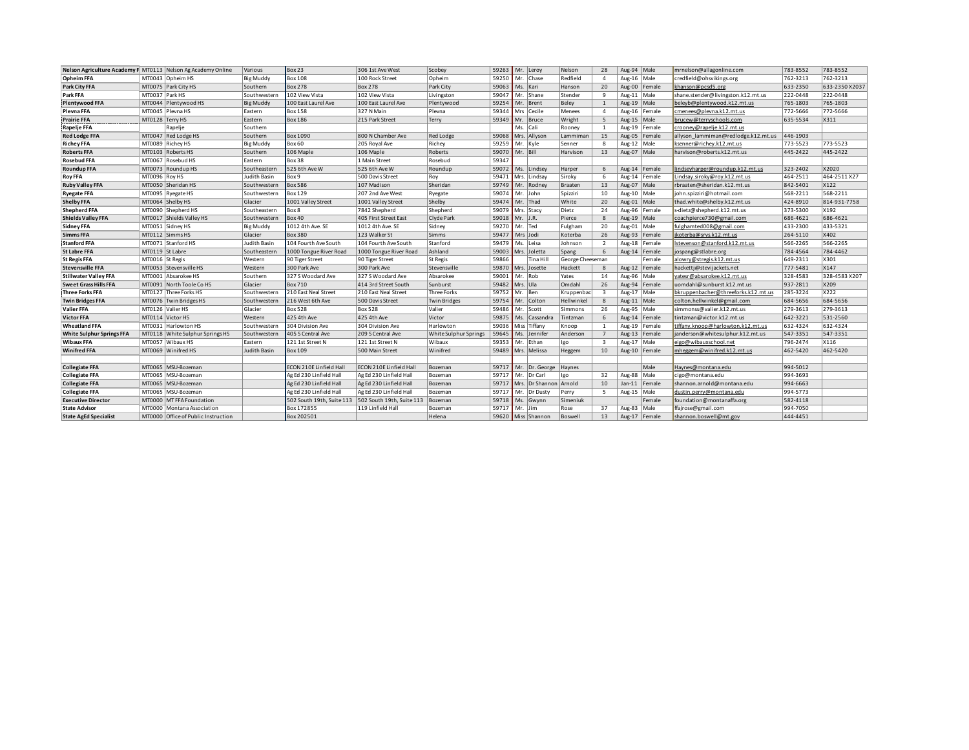|                                  | Nelson Agriculture Academy F MT0113 Nelson Ag Academy Online | Various          | Box 23                    | 306 1st Ave West          | Scobey                |       | 59263 Mr. Leroy              | Nelson           | 28                      | Aug-94 Male |                 | mrnelson@allagonline.com            | 783-8552 | 783-8552       |
|----------------------------------|--------------------------------------------------------------|------------------|---------------------------|---------------------------|-----------------------|-------|------------------------------|------------------|-------------------------|-------------|-----------------|-------------------------------------|----------|----------------|
| <b>Opheim FFA</b>                | MT0043 Opheim HS                                             | <b>Big Muddy</b> | <b>Box 108</b>            | 100 Rock Street           | Opheim                |       | 59250 Mr. Chase              | Redfield         | $\overline{4}$          | Aug-16 Male |                 | credfield@ohsvikings.org            | 762-3213 | 762-3213       |
| Park City FFA                    | MT0075 Park City HS                                          | Southern         | <b>Box 278</b>            | <b>Box 278</b>            | Park City             |       | 59063 Ms. Kari               | Hanson           | 20                      |             | Aug-00 Female   | khanson@pcsd5.org                   | 633-2350 | 633-2350 X2037 |
| Park FFA                         | MT0037   Park HS                                             | Southwester      | 102 View Vista            | 102 View Vista            | Livingston            | 59047 | Mr. Shane                    | Stender          | 9                       | Aug-11      | Male            | shane.stender@livingston.k12.mt.us  | 222-0448 | 222-0448       |
| <b>Plentywood FFA</b>            | MT0044   Plentywood HS                                       | <b>Big Muddy</b> | 100 East Laurel Ave       | 100 East Laurel Ave       | Plentywood            |       | 59254 Mr. Brent              | Beley            | 1                       | Aug-19 Male |                 | beleyb@plentywood.k12.mt.us         | 765-1803 | 765-1803       |
| Plevna FFA                       | MT0045 Plevna HS                                             | Eastern          | <b>Box 158</b>            | 327 N Main                | Plevna                | 59344 | Mrs Cecile                   | Menees           | $\overline{4}$          |             | Aug-16   Female | cmenees@plevna.k12.mt.us            | 772-5666 | 772-5666       |
| <b>Prairie FFA</b>               | MT0128 Terry HS                                              | Eastern          | <b>Box 186</b>            | 215 Park Street           | Terry                 |       | 59349 Mr. Bruce              | Wright           | 5                       | Aug-15 Male |                 | brucew@terryschools.com             | 635-5534 | X311           |
| Rapelje FFA                      | Rapelje                                                      | Southern         |                           |                           |                       |       | Ms. Cali                     | Rooney           | <sup>1</sup>            |             | Aug-19 Female   | crooney@rapelje.k12.mt.us           |          |                |
| <b>Red Lodge FFA</b>             | MT0047 Red Lodge HS                                          | Southern         | Box 1090                  | 800 N Chamber Ave         | <b>Red Lodge</b>      |       | 59068 Mrs. Allyson           | Lammimar         | 15                      | Aug-05      | Female          | allyson lammiman@redlodge.k12.mt.us | 446-1903 |                |
| <b>Richey FFA</b>                | MT0089 Richey HS                                             | <b>Big Muddy</b> | Box 60                    | 205 Royal Ave             | Richey                |       | 59259 Mr. Kyle               | Senner           | 8                       | Aug-12 Male |                 | ksenner@richev.k12.mt.us            | 773-5523 | 773-5523       |
| <b>Roberts FFA</b>               | MT0103 Roberts HS                                            | Southern         | 106 Maple                 | 106 Maple                 | Roberts               |       | 59070 Mr. Bill               | Harvison         | 13                      | Aug-07 Male |                 | harvison@roberts.k12.mt.us          | 445-2422 | 445-2422       |
| <b>Rosebud FFA</b>               | MT0067 Rosebud HS                                            | Eastern          | Box 38                    | 1 Main Street             | Rosebud               | 59347 |                              |                  |                         |             |                 |                                     |          |                |
| <b>Roundup FFA</b>               | MT0073 Roundup HS                                            | Southeastern     | 525 6th Ave W             | 525 6th Ave W             | Roundup               | 59072 | Ms. Lindsey                  | Harper           | 6                       |             | Aug-14   Female | lindseyharper@roundup.k12.mt.us     | 323-2402 | X2020          |
| <b>Roy FFA</b>                   | MT0096 Roy HS                                                | Judith Basin     | Box 9                     | 500 Davis Street          | Roy                   | 59471 | Mrs. Lindsay                 | Siroky           | 6                       | Aug-14      | Female          | Lindsav.sirokv@rov.k12.mt.us        | 464-2511 | 464-2511 X27   |
| <b>Ruby Valley FFA</b>           | MT0050 Sheridan HS                                           | Southwestern     | <b>Box 586</b>            | 107 Madison               | Sheridan              | 59749 | Mr. Rodney                   | Braaten          | 13                      | Aug-07      | Male            | rbraaten@sheridan.k12.mt.us         | 842-5401 | X122           |
| <b>Ryegate FFA</b>               | MT0095 Ryegate HS                                            | Southwestern     | <b>Box 129</b>            | 207 2nd Ave West          | Ryegate               | 59074 | Mr. John                     | Spizziri         | 10                      | Aug-10 Male |                 | john.spizziri@hotmail.com           | 568-2211 | 568-2211       |
| <b>Shelby FFA</b>                | MT0064 Shelby HS                                             | Glacier          | 1001 Valley Street        | 1001 Valley Street        | Shelby                | 59474 | Mr. Thad                     | White            | 20                      | Aug-01 Male |                 | thad.white@shelby.k12.mt.us         | 424-8910 | 814-931-7758   |
| <b>Shepherd FFA</b>              | MT0090 Shepherd HS                                           | Southeastern     | Box 8                     | 7842 Shepherd             | Shepherd              | 59079 | Mrs. Stacy                   | Dietz            | 24                      |             | Aug-96 Female   | s-dietz@shepherd.k12.mt.us          | 373-5300 | X192           |
| <b>Shields Valley FFA</b>        | MT0017 Shields Valley HS                                     | Southwestern     | <b>Box 40</b>             | 405 First Street East     | Clyde Park            | 59018 | $Mr.$ J.R.                   | Pierce           | 8                       | Aug-19 Male |                 | coachpierce730@gmail.com            | 686-4621 | 686-4621       |
| <b>Sidney FFA</b>                | MT0051 Sidney HS                                             | <b>Big Muddy</b> | 1012 4th Ave. SE          | 1012 4th Ave. SE          | Sidney                | 59270 | Mr. Ted                      | Fulgham          | 20                      | Aug-01 Male |                 | fulghamted008@gmail.com             | 433-2300 | 433-5321       |
| <b>Simms FFA</b>                 | MT0112 Simms HS                                              | Glacier          | Box 380                   | 123 Walker St             | Simms                 | 59477 | Mrs Jodi                     | Koterba          | 26                      |             | Aug-93 Female   | jkoterba@srvs.k12.mt.us             | 264-5110 | X402           |
| <b>Stanford FFA</b>              | MT0071 Stanford HS                                           | Judith Basin     | 104 Fourth Ave South      | 104 Fourth Ave South      | Stanford              | 59479 | Ms. Leisa                    | Johnson          | $\overline{2}$          |             | Aug-18 Female   | lstevenson@stanford.k12.mt.us       | 566-2265 | 566-2265       |
| <b>St Labre FFA</b>              | MT0119 St Labre                                              | Southeastern     | 1000 Tongue River Road    | 1000 Tongue River Road    | Ashland               |       | 59003 Mrs. Joletta           | Spang            | 6                       |             | Aug-14 Female   | jospang@stlabre.org                 | 784-4564 | 784-4462       |
| <b>St Regis FFA</b>              | MT0016 St Regis                                              | Western          | 90 Tiger Street           | 90 Tiger Street           | <b>St Regis</b>       | 59866 | Tina Hill                    | George Cheeseman |                         |             | Female          | alowry@stregis.k12.mt.us            | 649-2311 | X301           |
| <b>Stevensville FFA</b>          | MT0053 Stevensville HS                                       | Western          | 300 Park Ave              | 300 Park Ave              | Stevensville          |       | 59870 Mrs. Josette           | Hackett          | 8                       |             | Aug-12 Female   | hacketti@stevijackets.net           | 777-5481 | X147           |
| <b>Stillwater Valley FFA</b>     | MT0001 Absarokee HS                                          | Southern         | 327 S Woodard Ave         | 327 S Woodard Ave         | Absarokee             | 59001 | Mr. Rob                      | Yates            | 14                      | Aug-96 Male |                 | vatesr@absarokee.k12.mt.us          | 328-4583 | 328-4583 X207  |
| <b>Sweet Grass Hills FFA</b>     | MT0091 North Toole Co HS                                     | Glacier          | Box 710                   | 414 3rd Street South      | Sunburst              |       | 59482 Mrs. Ula               | Omdahl           | 26                      | Aug-94      | Female          | uomdahl@sunburst.k12.mt.us          | 937-2811 | X209           |
| <b>Three Forks FFA</b>           | MT0127 Three Forks HS                                        | Southwesterr     | 210 East Neal Street      | 210 East Neal Street      | <b>Three Forks</b>    | 59752 | Mr. Ben                      | Kruppenba        | $\overline{\mathbf{3}}$ | Aug-17 Male |                 | bkruppenbacher@threeforks.k12.mt.us | 285-3224 | X222           |
| <b>Twin Bridges FFA</b>          | MT0076 Twin Bridges HS                                       | Southwestern     | 216 West 6th Ave          | 500 Davis Street          | <b>Twin Bridges</b>   | 59754 | Mr. Colton                   | Hellwinkel       | 8                       | Aug-11 Male |                 | colton.hellwinkel@gmail.com         | 684-5656 | 684-5656       |
| Valier FFA                       | MT0126 Valier HS                                             | Glacier          | <b>Box 528</b>            | <b>Box 528</b>            | Valier                | 59486 | Mr. Scott                    | Simmons          | 26                      | Aug-95 Male |                 | simmonss@valier.k12.mt.us           | 279-3613 | 279-3613       |
| <b>Victor FFA</b>                | MT0114 Victor HS                                             | Western          | 425 4th Ave               | 425 4th Ave               | Victor                |       | 59875 Ms. Cassandra          | Tintzman         | 6                       |             | Aug-14 Female   | tintzman@victor.k12.mt.us           | 642-3221 | 531-2560       |
| <b>Wheatland FFA</b>             | MT0031 Harlowton HS                                          | Southwestern     | 304 Division Ave          | 304 Division Ave          | Harlowton             |       | 59036 Miss Tiffany           | Knoop            | <sup>1</sup>            |             | Aug-19 Female   | tiffany.knoop@harlowton.k12.mt.us   | 632-4324 | 632-4324       |
| <b>White Sulphur Springs FFA</b> | MT0118 White Sulphur Springs HS                              | Southwestern     | 405 S Central Ave         | 209 S Central Ave         | White Sulphur Springs | 59645 | Ms. Jennifer                 | Anderson         | 7                       |             | Aug-13 Female   | janderson@whitesulphur.k12.mt.us    | 547-3351 | 547-3351       |
| <b>Wibaux FFA</b>                | MT0057 Wibaux HS                                             | Eastern          | 121 1st Street N          | 121 1st Street N          | Wibaux                |       | 59353 Mr. Ethan              | Igo              | $\overline{\mathbf{3}}$ | Aug-17      | Male            | eigo@wibauxschool.net               | 796-2474 | X116           |
| <b>Winifred FFA</b>              | MT0069 Winifred HS                                           | Judith Basin     | Box 109                   | 500 Main Street           | Winifred              |       | 59489 Mrs. Melissa           | Heggem           | 10                      |             | Aug-10 Female   | mheggem@winifred.k12.mt.us          | 462-5420 | 462-5420       |
|                                  |                                                              |                  |                           |                           |                       |       |                              |                  |                         |             |                 |                                     |          |                |
| <b>Collegiate FFA</b>            | MT0065   MSU-Bozeman                                         |                  | ECON 210E Linfield Hall   | ECON 210E Linfield Hal    | Bozeman               |       | 59717 Mr. Dr. George         | Haynes           |                         |             | Male            | Haynes@montana.edu                  | 994-5012 |                |
| <b>Collegiate FFA</b>            | MT0065   MSU-Bozeman                                         |                  | Ag Ed 230 Linfield Hall   | Ag Ed 230 Linfield Hall   | Bozeman               | 59717 | Mr. Dr Carl                  | Igo              | 32                      | Aug-88 Male |                 | cigo@montana.edu                    | 994-3693 |                |
| <b>Collegiate FFA</b>            | MT0065   MSU-Bozeman                                         |                  | Ag Ed 230 Linfield Hall   | Ag Ed 230 Linfield Hall   | Bozeman               |       | 59717 Mrs. Dr Shannon Arnold |                  | 10                      | $Jan-11$    | Female          | shannon.arnold@montana.edu          | 994-6663 |                |
| <b>Collegiate FFA</b>            | MT0065 MSU-Bozeman                                           |                  | Ag Ed 230 Linfield Hall   | Ag Ed 230 Linfield Hall   | Bozeman               | 59717 | Mr. Dr Dusty                 | Perry            | - 5                     | Aug-15 Male |                 | dustin.perry@montana.edu            | 994-5773 |                |
| <b>Executive Director</b>        | MT0000 MT FFA Foundation                                     |                  | 502 South 19th, Suite 113 | 502 South 19th, Suite 113 | Bozeman               | 59718 | Ms. Gwynn                    | Simeniuk         |                         |             | Female          | foundation@montanaffa.org           | 582-4118 |                |
| <b>State Advisor</b>             | MT0000 Montana Association                                   |                  | Box 172855                | 119 Linfield Hall         | Bozeman               | 59717 | Mr. Jim                      | Rose             | 37                      | Aug-83      | Male            | ffajrose@gmail.com                  | 994-7050 |                |
| <b>State AgEd Specialist</b>     | MT0000 Office of Public Instruction                          |                  | Box 202501                |                           | Helena                |       | 59620 Miss Shannon           | Boswell          | 13                      |             | Aug-17 Female   | shannon.boswell@mt.gov              | 444-4451 |                |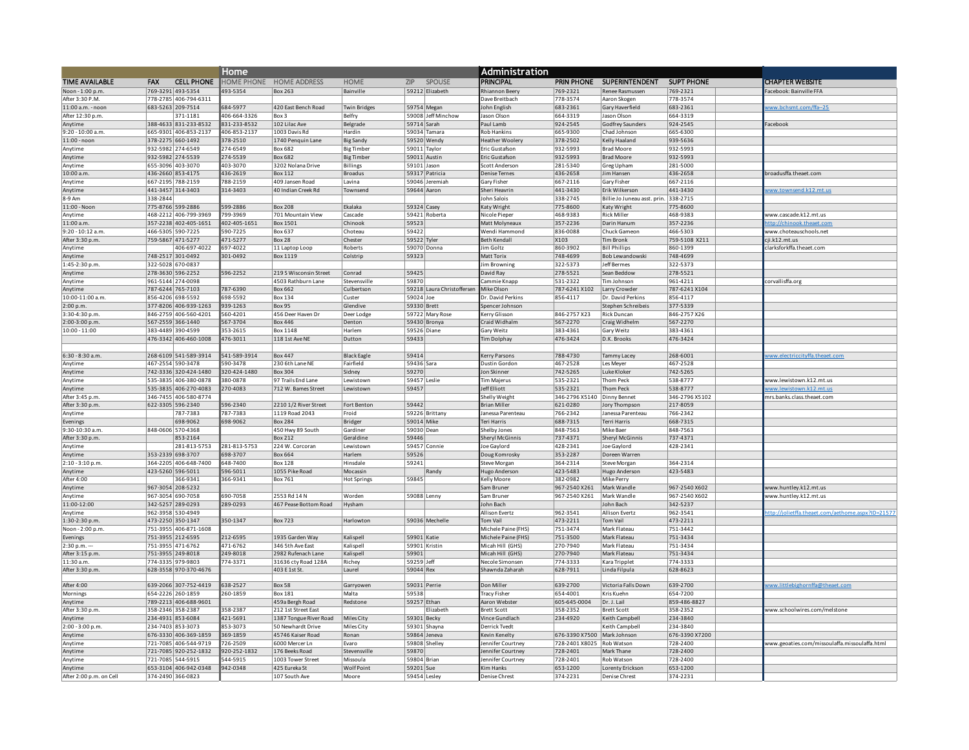|                            |                                                | Home                 |                                   |                     |            |                                  | <b>Administration</b>        |                             |                                      |                            |  |                                                   |
|----------------------------|------------------------------------------------|----------------------|-----------------------------------|---------------------|------------|----------------------------------|------------------------------|-----------------------------|--------------------------------------|----------------------------|--|---------------------------------------------------|
| <b>TIME AVAILABLE</b>      | <b>CELL PHONE</b><br><b>FAX</b>                |                      | HOME PHONE HOME ADDRESS           | <b>HOME</b>         |            | ZIP SPOUSE                       | PRINCIPAL                    |                             | PRIN PHONE SUPERINTENDENT SUPT PHONE |                            |  | <b>CHAPTER WEBSITE</b>                            |
| Noon - 1:00 p.m            | 769-3291 493-5354                              | 493-5354             | Box 263                           | <b>Bainville</b>    |            | 59212 Flizabeth                  | hiannon Beery                | 769-2321                    | <b>Renee Rasmusser</b>               | 769-2321                   |  | acebook: Bainville FFA                            |
| After 3:30 P.M.            | 778-2785 406-794-6311                          |                      |                                   |                     |            |                                  | Dave Breitbach               | 778-3574                    | Aaron Skogen                         | 778-3574                   |  |                                                   |
| 11:00 a.m. - noon          | 683-5263 209-7514                              | 684-5977             | 420 Fast Bench Road               | <b>Twin Bridges</b> |            | 59754 Megan                      | John English                 | 683-2361                    | Gary Haverfield                      | 683-2361                   |  | ww.bchsmt.com/ffa--25                             |
| After 12:30 p.m.           | 371-1181                                       | 406-664-3326         | Box 3                             | Belfry              |            | 59008 Jeff Minchow               | ason Olson                   | 664-3319                    | Jason Olson                          | 664-3319                   |  |                                                   |
| Anytime                    | 388-4633 831-233-8532                          | 831-233-8532         | 102 Lilac Ave                     | Belgrade            |            | 59714 Sarah                      | aul Lamb                     | 924-2545                    | <b>Godfrey Saunders</b>              | 924-2545                   |  | acebook                                           |
| 9:20 - 10:00 a.m.          | 665-9301 406-853-2137                          | 406-853-2137         | 1003 Davis Rd                     | Hardin              |            | 59034 Tamara                     | <b>Rob Hankins</b>           | 665-9300                    | Chad Johnson                         | 665-6300                   |  |                                                   |
| $11:00 -$ noon             | 378-2275 660-1492                              | 378-2510             | 1740 Penquin Lane                 | <b>Big Sandy</b>    |            | 59520 Wendy                      | eather Woolery               | 378-2502                    | Kelly Haaland                        | 939-5636                   |  |                                                   |
| Anytime                    | 932-5982 274-6549                              | 274-6549             | <b>Box 682</b>                    | <b>Big Timber</b>   |            | 59011 Taylor                     | ric Gustafson                | 932-5993                    | <b>Brad Moore</b>                    | 932-5993                   |  |                                                   |
| Anytime                    | 932-5982 274-5539                              | 274-5539             | <b>Box 682</b>                    | <b>Big Timber</b>   |            | 59011 Austin                     | Eric Gustafson               | 932-5993                    | <b>Brad Moore</b>                    | 932-5993                   |  |                                                   |
| Anytime                    | 655-3096 403-3070                              | 403-3070             | 3202 Nolana Drive                 | Billings            |            | 59101 Jason                      | Scott Anderson               | 281-5340                    | <b>Greg Upham</b>                    | 281-5000                   |  | roadusffa.theaet.com                              |
| 10:00 a.m.<br>Anytime      | 436-2660 853-4175<br>667-2195 788-2159         | 436-2619<br>788-2159 | <b>Box 112</b><br>409 Jansen Road | Broadus<br>Lavina   |            | 59317 Patricia<br>59046 Jeremiah | enise Ternes<br>Gary Fisher  | 436-2658<br>667-2116        | Jim Hansen<br>Gary Fisher            | 436-2658<br>667-2116       |  |                                                   |
| Anytime                    | 441-3457 314-3403                              | 314-3403             | 40 Indian Creek Rd                | Townsend            |            | 59644 Aaron                      | Sheri Heavrin                | 441-3430                    | Erik Wilkerson                       | 441-3430                   |  | ww.townsend.k12.mt.u                              |
| 8-9 Am                     | 338-2844                                       |                      |                                   |                     |            |                                  | ohn Salois                   | 338-2745                    | Billie Jo Juneau asst. prin.         | 338-2715                   |  |                                                   |
| 11:00 - Noon               | 775-8766 599-2886                              | 599-2886             | <b>Box 208</b>                    | Ekalaka             |            | 59324 Casey                      | <b>Caty Wright</b>           | 775-8600                    | Katy Wright                          | 775-8600                   |  |                                                   |
| Anytime                    | 468-2212 406-799-3969                          | 799-3969             | 701 Mountain View                 | Cascade             |            | 59421 Roberta                    | Nicole Pieper                | 468-9383                    | <b>Rick Miller</b>                   | 468-9383                   |  | www.cascade.k12.mt.us                             |
| 11:00 a.m.                 | 357-2238 402-405-1651                          | 402-405-1651         | <b>Box 1501</b>                   | Chinook             | 59523      |                                  | Matt Molyneaux               | 357-2236                    | Darin Hanum                          | 357-2236                   |  | n://chinook.theaet.com                            |
| 9:20 - 10:12 a.m.          | 466-5305 590-7225                              | 590-7225             | <b>Box 637</b>                    | Choteau             | 59422      |                                  | <b>Nendi Hammond</b>         | 836-0088                    | Chuck Gameon                         | 466-5303                   |  | www.choteauschools.net                            |
| After 3:30 p.m.            | 759-5867 471-5277                              | 471-5277             | <b>Box 28</b>                     | Chester             |            | 59522 Tyler                      | <b>Beth Kendall</b>          | X103                        | <b>Tim Bronk</b>                     | 759-5108 X211              |  | i.k12.mt.us                                       |
| Anytime                    | 406-697-4022                                   | 697-4022             | 11 Laptop Loop                    | Roberts             |            | 59070 Donna                      | im Goltz                     | 860-3902                    | <b>Bill Phillips</b>                 | 860-1399                   |  | larksforkffa.theaet.com                           |
| Anvtime                    | 748-2517 301-0492                              | 301-0492             | Box 1119                          | Colstrip            | 59323      |                                  | Matt Torix                   | 748-4699                    | <b>Bob Lewandowski</b>               | 748-4699                   |  |                                                   |
| 1:45-2:30 p.m.             | 322-5028 670-0837                              |                      |                                   |                     |            |                                  | im Browning                  | 322-5373                    | Jeff Bermes                          | 322-5373                   |  |                                                   |
| Anytime                    | 278-3630 596-2252                              | 596-2252             | 219 S Wisconsin Street            | Conrad              | 59425      |                                  | avid Ray                     | 278-5521                    | Sean Beddow                          | 278-5521                   |  |                                                   |
| Anvtime                    | 961-5144 274-0098                              |                      | 4503 Rathburn Lane                | Stevensville        | 59870      |                                  | ammie Knapp                  | 531-2322                    | Tim Johnson                          | 961-4211                   |  | orvallisffa.org                                   |
| Anvtime                    | 787-6244 765-7103                              | 787-6390             | <b>Box 662</b>                    | Culbertson          |            | 59218 Laura Christoffersen       | Mike Olson                   | 787-6241X102                | Larry Crowder                        | 787-6241 X104              |  |                                                   |
| 10:00-11:00 a.m.           | 856-4206 698-5592                              | 698-5592             | <b>Box 134</b>                    | Custer              | 59024 Joe  |                                  | r. David Perkins             | 856-4117                    | Dr. David Perkins                    | 856-4117                   |  |                                                   |
| 2:00 p.m.                  | 377-8206 406-939-1263                          | 939-1263             | <b>Box 95</b>                     | Glendive            |            | 59330 Brett                      | pencer Johnson               |                             | Stephen Schreibeis                   | 377-5339                   |  |                                                   |
| 3:30-4:30 p.m.             | 846-2759 406-560-4201                          | 560-4201             | 456 Deer Haven Dr                 | Deer Lodge          |            | 59722 Mary Rose                  | erry Glisson                 | 846-2757 X23                | <b>Rick Duncan</b>                   | 846-2757 X26               |  |                                                   |
| 2:00-3:00 p.m.             | 567-2559 366-1440                              | 567-3704             | <b>Box 446</b>                    | Denton              |            | 59430 Bronya                     | Craid Widhalm                | 567-2270                    | Craig Widhelm                        | 567-2270                   |  |                                                   |
| 10:00 - 11:00              | 383-4489 390-4599                              | 353-2615             | <b>Box 1148</b>                   | Harlem              |            | 59526 Diane                      | Gary Weitz                   | 383-4361                    | Gary Weitz                           | 383-4361                   |  |                                                   |
|                            | 476-3342 406-460-1008                          | 476-3011             | 118 1st Ave NE                    | Dutton              | 59433      |                                  | im Dolphay                   | 476-3424                    | D.K. Brooks                          | 476-3424                   |  |                                                   |
|                            |                                                |                      |                                   |                     |            |                                  |                              |                             |                                      |                            |  |                                                   |
| 6:30 - 8:30 a.m.           | 268-6109 541-589-3914                          | 541-589-3914         | <b>Box 447</b>                    | <b>Black Eagle</b>  | 59414      |                                  | erry Parsons                 | 788-4730                    | <b>Tammy Lacev</b>                   | 268-6001                   |  | ww.electriccityffa.theaet.com                     |
| Anvtime                    | 467-2554 590-3478                              | 90-3478              | 230 6th Lane NE                   | Fairfield           | 59436 Sara |                                  | Oustin Gordon                | 467-2528                    | Les Mever                            | 467-2528                   |  |                                                   |
| Anytime                    | 742-3336 320-424-1480                          | 320-424-1480         | <b>Box 304</b>                    | Sidney              | 59270      |                                  | on Skinner                   | 742-5265                    | Luke Kloker                          | 742-5265                   |  |                                                   |
| Anvtime                    | 535-3835 406-380-0878                          | 880-0878             | 97 Trails End Lane                | Lewistown           |            | 59457 Leslie                     | <b>Tim Majerus</b>           | 535-2321                    | <b>Thom Peck</b>                     | 538-8777                   |  | www.lewistown.k12.mt.us<br>ww.lewistown.k12.mt.us |
| Anvtime<br>After 3:45 p.m. | 535-3835 406-270-4083<br>346-7455 406-580-8774 | !70-4083             | 712 W. Bames Street               | Lewistown           | 59457      |                                  | eff Elliott<br>Shelly Weight | 535-2321<br>346-2796 X5140  | Thom Peck<br>Dinny Bennet            | 538-8777<br>346-2796 X5102 |  | nrs.banks.class.theaet.com                        |
| After 3:30 p.m.            | 622-3305 596-2340                              | 596-2340             | 2210 1/2 River Street             | Fort Benton         | 59442      |                                  | <b>Brian Miller</b>          | 621-0280                    | Jory Thompson                        | 217-8059                   |  |                                                   |
| Anvtime                    | 787-7383                                       | 787-7383             | 1119 Road 2043                    | Froid               |            | 59226 Brittany                   | anessa Parenteau             | 766-2342                    | Janessa Parenteau                    | 766-2342                   |  |                                                   |
| Evenings                   | 698-9062                                       | 698-9062             | <b>Box 284</b>                    | <b>Bridger</b>      |            | 59014 Mike                       | Teri Harris                  | 688-7315                    | <b>Terri Harris</b>                  | 668-7315                   |  |                                                   |
| 9:30-10:30 a.m.            | 848-0606 570-4368                              |                      | 450 Hwy 89 South                  | Gardiner            |            | 59030 Dean                       | Shelby Jones                 | 848-7563                    | Mike Baer                            | 848-7563                   |  |                                                   |
| After 3:30 p.m.            | 853-2164                                       |                      | <b>Box 212</b>                    | Geraldine           | 59446      |                                  | Sheryl McGinnis              | 737-4371                    | <b>Shervl McGinnis</b>               | 737-4371                   |  |                                                   |
| Anvtime                    | 281-813-5753                                   | 281-813-5753         | 224 W. Corcoran                   | Lewistown           |            | 59457 Connie                     | Joe Gavlord                  | 428-2341                    | Joe Gavlord                          | 428-2341                   |  |                                                   |
| Anvtime                    | 353-2339 698-3707                              | 698-3707             | <b>Box 664</b>                    | Harlem              | 59526      |                                  | Joug Komrosky                | 353-2287                    | Doreen Warren                        |                            |  |                                                   |
| $2:10 - 3:10 p.m.$         | 364-2205 406-648-7400                          | 648-7400             | <b>Box 128</b>                    | Hinsdale            | 59241      |                                  | <b>Steve Morgan</b>          | 364-2314                    | <b>Steve Morgan</b>                  | 364-2314                   |  |                                                   |
| Anytime                    | 423-5260 596-5011                              | 596-5011             | 1055 Pike Road                    | Mocassin            |            | Randy                            | lugo Anderson                | 423-5483                    | Hugo Anderson                        | 423-5483                   |  |                                                   |
| After 4:00                 | 366-9341                                       | 366-9341             | <b>Box 761</b>                    | <b>Hot Springs</b>  | 59845      |                                  | Celly Moore                  | 382-0982                    | Mike Perry                           |                            |  |                                                   |
| Anytime                    | 967-3054 208-5232                              |                      |                                   |                     |            |                                  | Sam Bruner                   | 967-2540 X261               | Mark Wandle                          | 967-2540 X602              |  | www.huntley.k12.mt.us                             |
| Anvtime                    | 967-3054 690-7058                              | 690-7058             | 2553 Rd 14 N                      | Worden              |            | 59088 Lenny                      | Sam Bruner                   | 967-2540 X261               | Mark Wandle                          | 967-2540 X602              |  | www.huntlev.k12.mt.us                             |
| 11:00-12:00                | 342-5257 289-0293                              | 289-0293             | 467 Pease Bottom Road             | Hysham              |            |                                  | John Bach                    |                             | John Bach                            | 342-5237                   |  |                                                   |
| Anvtime                    | 962-3958 530-4949                              |                      |                                   |                     |            |                                  | Allison Evertz               | 962-3541                    | Allison Evertz                       | 962-3541                   |  | n://iolietffa.theaet.com/aethome.aspx?ID=21577    |
| 1:30-2:30 p.m.             | 473-2250 350-1347                              | 350-1347             | <b>Box 723</b>                    | Harlowton           |            | 59036 Mechelle                   | Tom Vail                     | 473-2211                    | Tom Vail                             | 473-2211                   |  |                                                   |
| Noon - 2:00 p.m            | 751-3955 406-871-1608                          |                      |                                   |                     |            |                                  | Michele Paine (FHS)          | 751-3474                    | Mark Flateau                         | 751-3442                   |  |                                                   |
| Evenings                   | 751-3955 212-6595                              | 212-6595             | 1935 Garden Way                   | Kalispell           |            | 59901 Katie                      | Michele Paine (FHS)          | 751-3500                    | Mark Flateau                         | 751-3434                   |  |                                                   |
| $2:30 p.m. -$              | 751-3955 471-6762                              | 471-6762             | 346 5th Ave East                  | Kalispel            |            | 59901 Kristin                    | Micah Hill (GHS)             | 270-7940                    | Mark Flateau                         | 751-3434                   |  |                                                   |
| After 3:15 p.m.            | 751-3955 249-8018                              | 249-8018             | 2982 Rufenach Lane                | Kalispell           | 59901      |                                  | Micah Hill (GHS)             | 270-7940                    | Mark Flateau                         | 751-3434                   |  |                                                   |
| 11:30 a.m.                 | 774-3335 979-9803                              | 774-3371             | 31636 cty Road 128A               | Richev              | 59259 Jeff |                                  | Necole Simonsen              | 774-3333                    | Kara Tripplet                        | 774-3333                   |  |                                                   |
| After 3:30 p.m.            | 628-3558 970-370-4676                          |                      | 403 E 1st St.                     | Laurel              | 59044 Rex  |                                  | Shawnda Zaharah              | 628-7911                    | Linda Filpula                        | 628-8623                   |  |                                                   |
| After 4:00                 |                                                | 638-2527             | <b>Box 58</b>                     | Garryowen           |            | 59031 Perrie                     | on Miller                    | 639-2700                    | Victoria Falls Down                  | 639-2700                   |  | ww.littlebighornffa@theaet.com                    |
| Mornings                   | 639-2066 307-752-4419<br>654-2226 260-1859     | 260-1859             | <b>Box 181</b>                    | Malta               | 59538      |                                  | racy Fisher                  | 654-4001                    | Kris Kuehn                           | 654-7200                   |  |                                                   |
| Anytime                    | 789-2213 406-688-9601                          |                      | 459a Bergh Road                   | Redstone            |            | 59257 Ethan                      | aron Webster                 | 605-645-0004                | Dr. J. Lail                          | 859-486-8827               |  |                                                   |
| After 3:30 p.m             | 358-2346 358-2387                              | 358-2387             | 212 1st Street Fast               |                     |            | Flizabeth                        | rett Scott                   | 358-2352                    | <b>Brett Scott</b>                   | 358-2352                   |  | www.schoolwires.com/melstone                      |
| Anytime                    | 234-4931 853-6084                              | 421-5691             | 1387 Tongue River Road            | Miles City          |            | 59301 Becky                      | ince Gundlach                | 234-4920                    | Keith Campbell                       | 234-3840                   |  |                                                   |
| $2:00 - 3:00 n.m.$         | 234-7403 853-3073                              | 853-3073             | 50 Newhardt Drive                 | Miles City          |            | 59301 Shayna                     | errick Tvedt                 |                             | Keith Campbell                       | 234-3840                   |  |                                                   |
| Anvtime                    | 676-3330 406-369-1859                          | 369-1859             | 45746 Kaiser Road                 | Ronan               |            | 59864 Jeneva                     | evin Kenelty                 | 676-3390 X7500 Mark Johnson |                                      | 676-3390 X7200             |  |                                                   |
| Anytime                    | 721-7085 406-544-9719                          | 726-2509             | 6000 Mercer In                    | Fvaro               |            | 59808 Shelley                    | ennifer Courtney             | 728-2401 X8025 Rob Watson   |                                      | 728-2400                   |  | www.geoaties.com/missoulaffa.missoulaffa.html     |
| Anvtime                    | 721-7085 920-252-1832                          | 920-252-1832         | 176 Beeks Road                    | Stevensville        | 59870      |                                  | ennifer Courtney             | 728-2401                    | Mark Thane                           | 728-2400                   |  |                                                   |
| Anytime                    | 721-7085 544-5915                              | 544-5915             | 1003 Tower Street                 | Missoula            |            | 59804 Brian                      | ennifer Courtney             | 728-2401                    | Rob Watson                           | 728-2400                   |  |                                                   |
| Anytime                    | 653-3104 406-942-0348                          | 942-0348             | 425 Fureka St                     | <b>Wolf Point</b>   | 59201 Sue  |                                  | im Hanks                     | 653-1200                    | Lorenty Frickson                     | 653-1200                   |  |                                                   |
| After 2:00 p.m. on Cell    | 374-2490 366-0823                              |                      | 107 South Ave                     | Moore               |            | 59454 Lesley                     | enise Chrest                 | 374-2231                    | Denise Chrest                        | 374-2231                   |  |                                                   |
|                            |                                                |                      |                                   |                     |            |                                  |                              |                             |                                      |                            |  |                                                   |